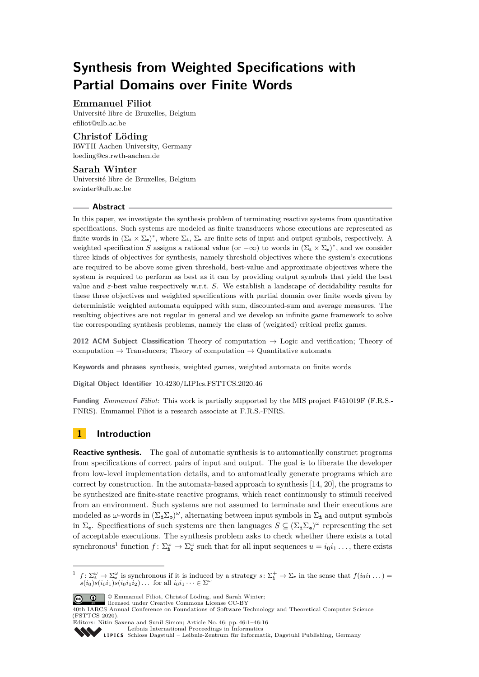# **Synthesis from Weighted Specifications with Partial Domains over Finite Words**

### **Emmanuel Filiot**

Université libre de Bruxelles, Belgium [efiliot@ulb.ac.be](mailto:efiliot@ulb.ac.be)

### **Christof Löding**

RWTH Aachen University, Germany [loeding@cs.rwth-aachen.de](mailto:loeding@cs.rwth-aachen.de)

### **Sarah Winter**

Université libre de Bruxelles, Belgium [swinter@ulb.ac.be](mailto:swinter@ulb.ac.be)

### **Abstract**

In this paper, we investigate the synthesis problem of terminating reactive systems from quantitative specifications. Such systems are modeled as finite transducers whose executions are represented as finite words in  $(\Sigma_{\pm} \times \Sigma_{\circ})^*$ , where  $\Sigma_{\pm}$ ,  $\Sigma_{\circ}$  are finite sets of input and output symbols, respectively. A weighted specification *S* assigns a rational value (or  $-\infty$ ) to words in  $(\Sigma_{\text{1}} \times \Sigma_{\text{o}})^{*}$ , and we consider three kinds of objectives for synthesis, namely threshold objectives where the system's executions are required to be above some given threshold, best-value and approximate objectives where the system is required to perform as best as it can by providing output symbols that yield the best value and  $\varepsilon$ -best value respectively w.r.t. *S*. We establish a landscape of decidability results for these three objectives and weighted specifications with partial domain over finite words given by deterministic weighted automata equipped with sum, discounted-sum and average measures. The resulting objectives are not regular in general and we develop an infinite game framework to solve the corresponding synthesis problems, namely the class of (weighted) critical prefix games.

**2012 ACM Subject Classification** Theory of computation → Logic and verification; Theory of computation  $\rightarrow$  Transducers; Theory of computation  $\rightarrow$  Quantitative automata

**Keywords and phrases** synthesis, weighted games, weighted automata on finite words

**Digital Object Identifier** [10.4230/LIPIcs.FSTTCS.2020.46](https://doi.org/10.4230/LIPIcs.FSTTCS.2020.46)

**Funding** *Emmanuel Filiot*: This work is partially supported by the MIS project F451019F (F.R.S.- FNRS). Emmanuel Filiot is a research associate at F.R.S.-FNRS.

## **1 Introduction**

**Reactive synthesis.** The goal of automatic synthesis is to automatically construct programs from specifications of correct pairs of input and output. The goal is to liberate the developer from low-level implementation details, and to automatically generate programs which are correct by construction. In the automata-based approach to synthesis [\[14,](#page-14-0) [20\]](#page-14-1), the programs to be synthesized are finite-state reactive programs, which react continuously to stimuli received from an environment. Such systems are not assumed to terminate and their executions are modeled as  $\omega$ -words in  $(\Sigma_{\mathbf{i}} \Sigma_{\mathbf{0}})^{\omega}$ , alternating between input symbols in  $\Sigma_{\mathbf{i}}$  and output symbols in  $\Sigma_{\mathbf{0}}$ . Specifications of such systems are then languages  $S \subseteq (\Sigma_{\mathbf{i}} \Sigma_{\mathbf{0}})^\omega$  representing the set of acceptable executions. The synthesis problem asks to check whether there exists a total synchronous<sup>[1](#page-0-0)</sup> function  $f: \Sigma_{\mathbf{a}}^{\omega} \to \Sigma_{\mathbf{a}}^{\omega}$  such that for all input sequences  $u = i_0 i_1 \dots$ , there exists

<span id="page-0-0"></span><sup>&</sup>lt;sup>1</sup>  $f: \Sigma_{\mathbf{i}}^{\omega} \to \Sigma_{\mathbf{o}}^{\omega}$  is synchronous if it is induced by a strategy  $s: \Sigma_{\mathbf{i}}^{+} \to \Sigma_{\mathbf{o}}$  in the sense that  $f(i_0i_1 \dots)$  $s(i_0)s(i_0i_1)s(i_0i_1i_2)\ldots$  for all  $i_0i_1\cdots \in \Sigma^{\omega}$ 



© Emmanuel Filiot, Christof Löding, and Sarah Winter;

[Schloss Dagstuhl – Leibniz-Zentrum für Informatik, Dagstuhl Publishing, Germany](https://www.dagstuhl.de)

licensed under Creative Commons License CC-BY 40th IARCS Annual Conference on Foundations of Software Technology and Theoretical Computer Science (FSTTCS 2020).

Editors: Nitin Saxena and Sunil Simon; Article No. 46; pp. 46:1–46[:16](#page-15-0) [Leibniz International Proceedings in Informatics](https://www.dagstuhl.de/lipics/)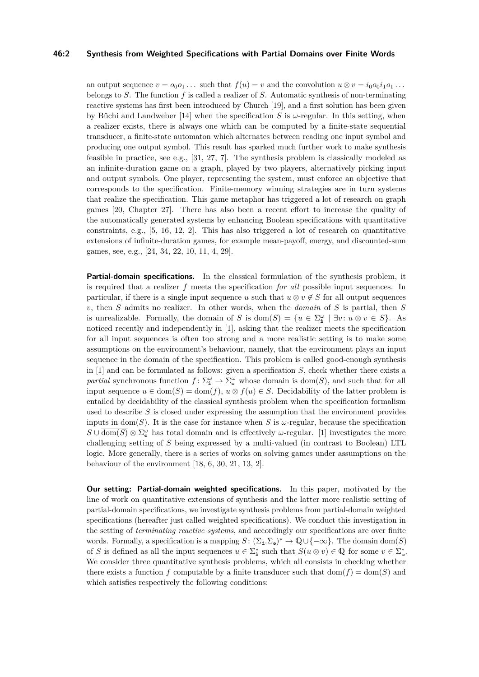### **46:2 Synthesis from Weighted Specifications with Partial Domains over Finite Words**

an output sequence  $v = o_0 o_1 \ldots$  such that  $f(u) = v$  and the convolution  $u \otimes v = i_0 o_0 i_1 o_1 \ldots$ belongs to *S*. The function *f* is called a realizer of *S*. Automatic synthesis of non-terminating reactive systems has first been introduced by Church [\[19\]](#page-14-2), and a first solution has been given by Büchi and Landweber  $[14]$  when the specification *S* is  $\omega$ -regular. In this setting, when a realizer exists, there is always one which can be computed by a finite-state sequential transducer, a finite-state automaton which alternates between reading one input symbol and producing one output symbol. This result has sparked much further work to make synthesis feasible in practice, see e.g., [\[31,](#page-15-1) [27,](#page-15-2) [7\]](#page-14-3). The synthesis problem is classically modeled as an infinite-duration game on a graph, played by two players, alternatively picking input and output symbols. One player, representing the system, must enforce an objective that corresponds to the specification. Finite-memory winning strategies are in turn systems that realize the specification. This game metaphor has triggered a lot of research on graph games [\[20,](#page-14-1) Chapter 27]. There has also been a recent effort to increase the quality of the automatically generated systems by enhancing Boolean specifications with quantitative constraints, e.g., [\[5,](#page-14-4) [16,](#page-14-5) [12,](#page-14-6) [2\]](#page-13-0). This has also triggered a lot of research on quantitative extensions of infinite-duration games, for example mean-payoff, energy, and discounted-sum games, see, e.g., [\[24,](#page-15-3) [34,](#page-15-4) [22,](#page-15-5) [10,](#page-14-7) [11,](#page-14-8) [4,](#page-14-9) [29\]](#page-15-6).

**Partial-domain specifications.** In the classical formulation of the synthesis problem, it is required that a realizer *f* meets the specification *for all* possible input sequences. In particular, if there is a single input sequence *u* such that  $u \otimes v \notin S$  for all output sequences *v*, then *S* admits no realizer. In other words, when the *domain* of *S* is partial, then *S* is unrealizable. Formally, the domain of *S* is dom(*S*) = { $u \in \Sigma_{\mathbf{a}}^{\omega} \mid \exists v : u \otimes v \in S$ }. As noticed recently and independently in [\[1\]](#page-13-1), asking that the realizer meets the specification for all input sequences is often too strong and a more realistic setting is to make some assumptions on the environment's behaviour, namely, that the environment plays an input sequence in the domain of the specification. This problem is called good-enough synthesis in [\[1\]](#page-13-1) and can be formulated as follows: given a specification *S*, check whether there exists a *partial* synchronous function  $f: \Sigma_{\mathbf{a}}^{\omega} \to \Sigma_{\mathbf{a}}^{\omega}$  whose domain is dom(*S*), and such that for all input sequence  $u \in \text{dom}(S) = \text{dom}(f)$ ,  $u \otimes f(u) \in S$ . Decidability of the latter problem is entailed by decidability of the classical synthesis problem when the specification formalism used to describe *S* is closed under expressing the assumption that the environment provides inputs in dom(*S*). It is the case for instance when *S* is  $\omega$ -regular, because the specification  $S \cup \overline{\text{dom}(S)} \otimes \Sigma_{\phi}^{\omega}$  has total domain and is effectively *ω*-regular. [\[1\]](#page-13-1) investigates the more challenging setting of *S* being expressed by a multi-valued (in contrast to Boolean) LTL logic. More generally, there is a series of works on solving games under assumptions on the behaviour of the environment [\[18,](#page-14-10) [6,](#page-14-11) [30,](#page-15-7) [21,](#page-14-12) [13,](#page-14-13) [2\]](#page-13-0).

**Our setting: Partial-domain weighted specifications.** In this paper, motivated by the line of work on quantitative extensions of synthesis and the latter more realistic setting of partial-domain specifications, we investigate synthesis problems from partial-domain weighted specifications (hereafter just called weighted specifications). We conduct this investigation in the setting of *terminating reactive systems*, and accordingly our specifications are over finite words. Formally, a specification is a mapping  $S: (\Sigma_{\mathbf{i}} \cdot \Sigma_{\mathbf{0}})^* \to \mathbb{Q} \cup \{-\infty\}$ . The domain dom(*S*) of *S* is defined as all the input sequences  $u \in \Sigma_{\mathbf{i}}^*$  such that  $S(u \otimes v) \in \mathbb{Q}$  for some  $v \in \Sigma_{\mathbf{a}}^*$ . We consider three quantitative synthesis problems, which all consists in checking whether there exists a function *f* computable by a finite transducer such that  $dom(f) = dom(S)$  and which satisfies respectively the following conditions: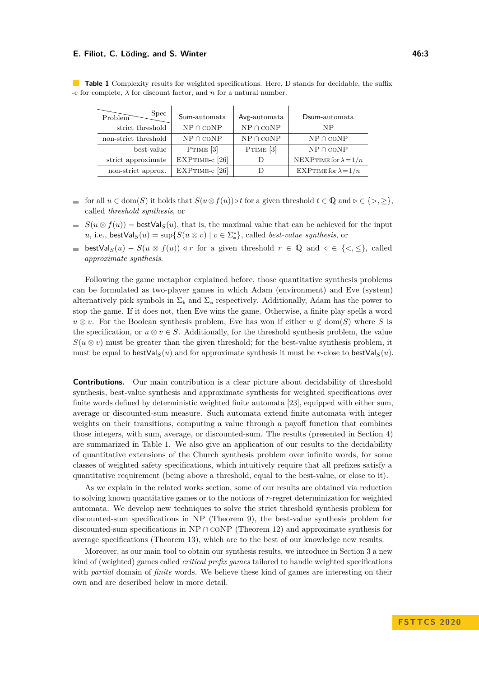#### **E. Filiot, C. Löding, and S. Winter 46:3 All and S. Winter 46:3 46:3**

| $\widetilde{\mathrm{Problem}}$<br>Spec | Sum-automata   | Avg-automata               | Dsum-automata                |
|----------------------------------------|----------------|----------------------------|------------------------------|
| strict threshold                       | $NP \cap coNP$ | ${\rm NP} \cap {\rm coNP}$ | NP                           |
| non-strict threshold                   | $NP \cap coNP$ | ${\rm NP} \cap {\rm coNP}$ | $NP \cap coNP$               |
| best-value                             | PTIME $[3]$    | PTIME $[3]$                | $NP \cap coNP$               |
| strict approximate                     | EXPTIME-c [26] |                            | NEXPTIME for $\lambda = 1/n$ |
| non-strict approx.                     | EXPTIME-c [26] |                            | EXPTIME for $\lambda = 1/n$  |

<span id="page-2-0"></span>**Table 1** Complexity results for weighted specifications. Here, D stands for decidable, the suffix -c for complete,  $\lambda$  for discount factor, and  $n$  for a natural number.

- for all  $u \in \text{dom}(S)$  it holds that  $S(u \otimes f(u)) \triangleright t$  for a given threshold  $t \in \mathbb{Q}$  and  $\rho \in \{>, \geq\},\$ called *threshold synthesis*, or
- $S(u \otimes f(u)) =$  bestVal<sub>S</sub>(*u*), that is, the maximal value that can be achieved for the input *u*, i.e., bestVal<sub>*S*</sub>(*u*) = sup{*S*(*u*  $\otimes$  *v*) | *v*  $\in \Sigma_{\circ}^{*}$ }, called *best-value synthesis*, or
- **■** bestVal<sub>S</sub>(*u*) − *S*(*u* ⊗ *f*(*u*))  $\triangleleft r$  for a given threshold  $r \in \mathbb{Q}$  and  $\triangleleft \in \{ \leq, \leq \}$ , called *approximate synthesis*.

Following the game metaphor explained before, those quantitative synthesis problems can be formulated as two-player games in which Adam (environment) and Eve (system) alternatively pick symbols in  $\Sigma_{\hat{\mathbf{n}}}$  and  $\Sigma_{\mathbf{0}}$  respectively. Additionally, Adam has the power to stop the game. If it does not, then Eve wins the game. Otherwise, a finite play spells a word  $u \otimes v$ . For the Boolean synthesis problem, Eve has won if either  $u \notin \text{dom}(S)$  where *S* is the specification, or  $u \otimes v \in S$ . Additionally, for the threshold synthesis problem, the value  $S(u \otimes v)$  must be greater than the given threshold; for the best-value synthesis problem, it must be equal to bestVal<sub>S</sub>(*u*) and for approximate synthesis it must be *r*-close to bestVal<sub>S</sub>(*u*).

**Contributions.** Our main contribution is a clear picture about decidability of threshold synthesis, best-value synthesis and approximate synthesis for weighted specifications over finite words defined by deterministic weighted finite automata [\[23\]](#page-15-9), equipped with either sum, average or discounted-sum measure. Such automata extend finite automata with integer weights on their transitions, computing a value through a payoff function that combines those integers, with sum, average, or discounted-sum. The results (presented in Section [4\)](#page-9-0) are summarized in Table [1.](#page-2-0) We also give an application of our results to the decidability of quantitative extensions of the Church synthesis problem over infinite words, for some classes of weighted safety specifications, which intuitively require that all prefixes satisfy a quantitative requirement (being above a threshold, equal to the best-value, or close to it).

As we explain in the related works section, some of our results are obtained via reduction to solving known quantitative games or to the notions of *r*-regret determinization for weighted automata. We develop new techniques to solve the strict threshold synthesis problem for discounted-sum specifications in NP (Theorem [9\)](#page-10-0), the best-value synthesis problem for discounted-sum specifications in  $NP \cap \text{coNP}$  (Theorem [12\)](#page-11-0) and approximate synthesis for average specifications (Theorem [13\)](#page-11-1), which are to the best of our knowledge new results.

Moreover, as our main tool to obtain our synthesis results, we introduce in Section [3](#page-7-0) a new kind of (weighted) games called *critical prefix games* tailored to handle weighted specifications with *partial* domain of *finite* words. We believe these kind of games are interesting on their own and are described below in more detail.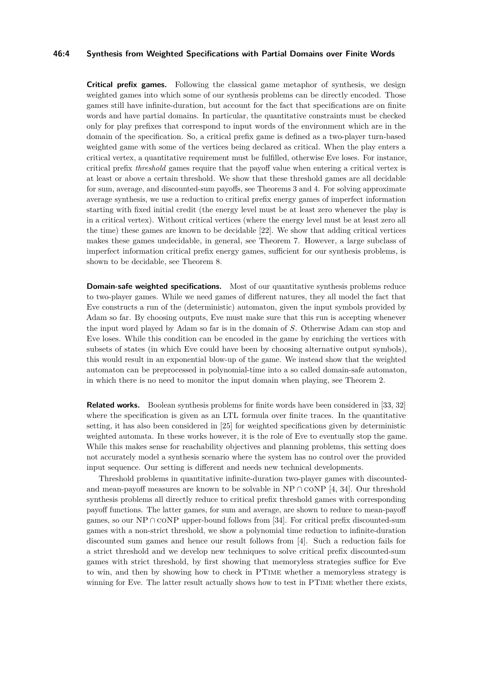### **46:4 Synthesis from Weighted Specifications with Partial Domains over Finite Words**

**Critical prefix games.** Following the classical game metaphor of synthesis, we design weighted games into which some of our synthesis problems can be directly encoded. Those games still have infinite-duration, but account for the fact that specifications are on finite words and have partial domains. In particular, the quantitative constraints must be checked only for play prefixes that correspond to input words of the environment which are in the domain of the specification. So, a critical prefix game is defined as a two-player turn-based weighted game with some of the vertices being declared as critical. When the play enters a critical vertex, a quantitative requirement must be fulfilled, otherwise Eve loses. For instance, critical prefix *threshold* games require that the payoff value when entering a critical vertex is at least or above a certain threshold. We show that these threshold games are all decidable for sum, average, and discounted-sum payoffs, see Theorems [3](#page-8-0) and [4.](#page-8-1) For solving approximate average synthesis, we use a reduction to critical prefix energy games of imperfect information starting with fixed initial credit (the energy level must be at least zero whenever the play is in a critical vertex). Without critical vertices (where the energy level must be at least zero all the time) these games are known to be decidable [\[22\]](#page-15-5). We show that adding critical vertices makes these games undecidable, in general, see Theorem [7.](#page-9-1) However, a large subclass of imperfect information critical prefix energy games, sufficient for our synthesis problems, is shown to be decidable, see Theorem [8.](#page-9-2)

**Domain-safe weighted specifications.** Most of our quantitative synthesis problems reduce to two-player games. While we need games of different natures, they all model the fact that Eve constructs a run of the (deterministic) automaton, given the input symbols provided by Adam so far. By choosing outputs, Eve must make sure that this run is accepting whenever the input word played by Adam so far is in the domain of *S*. Otherwise Adam can stop and Eve loses. While this condition can be encoded in the game by enriching the vertices with subsets of states (in which Eve could have been by choosing alternative output symbols), this would result in an exponential blow-up of the game. We instead show that the weighted automaton can be preprocessed in polynomial-time into a so called domain-safe automaton, in which there is no need to monitor the input domain when playing, see Theorem [2.](#page-6-0)

**Related works.** Boolean synthesis problems for finite words have been considered in [\[33,](#page-15-10) [32\]](#page-15-11) where the specification is given as an LTL formula over finite traces. In the quantitative setting, it has also been considered in [\[25\]](#page-15-12) for weighted specifications given by deterministic weighted automata. In these works however, it is the role of Eve to eventually stop the game. While this makes sense for reachability objectives and planning problems, this setting does not accurately model a synthesis scenario where the system has no control over the provided input sequence. Our setting is different and needs new technical developments.

Threshold problems in quantitative infinite-duration two-player games with discountedand mean-payoff measures are known to be solvable in NP  $\cap$  coNP [\[4,](#page-14-9) [34\]](#page-15-4). Our threshold synthesis problems all directly reduce to critical prefix threshold games with corresponding payoff functions. The latter games, for sum and average, are shown to reduce to mean-payoff games, so our NP ∩  $\text{coNP}$  upper-bound follows from [\[34\]](#page-15-4). For critical prefix discounted-sum games with a non-strict threshold, we show a polynomial time reduction to infinite-duration discounted sum games and hence our result follows from [\[4\]](#page-14-9). Such a reduction fails for a strict threshold and we develop new techniques to solve critical prefix discounted-sum games with strict threshold, by first showing that memoryless strategies suffice for Eve to win, and then by showing how to check in PTime whether a memoryless strategy is winning for Eve. The latter result actually shows how to test in PTime whether there exists,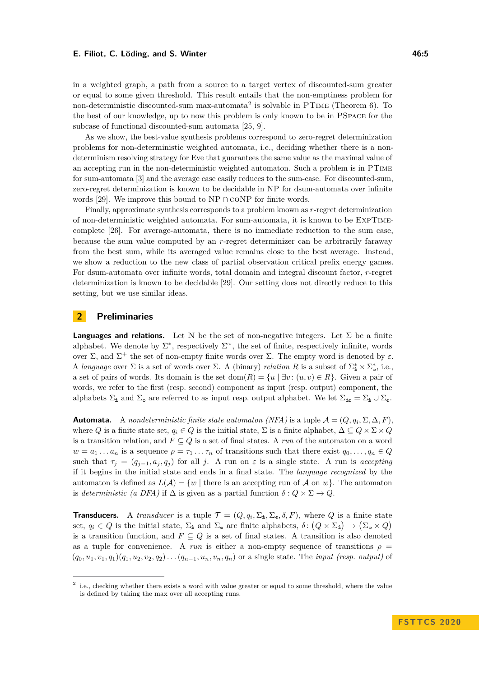### **E. Filiot, C. Löding, and S. Winter 46:5** and the state of the 46:5

in a weighted graph, a path from a source to a target vertex of discounted-sum greater or equal to some given threshold. This result entails that the non-emptiness problem for non-deterministic discounted-sum max-automata<sup>[2](#page-4-0)</sup> is solvable in PTIME (Theorem [6\)](#page-9-3). To the best of our knowledge, up to now this problem is only known to be in PSpace for the subcase of functional discounted-sum automata [\[25,](#page-15-12) [9\]](#page-14-15).

As we show, the best-value synthesis problems correspond to zero-regret determinization problems for non-deterministic weighted automata, i.e., deciding whether there is a nondeterminism resolving strategy for Eve that guarantees the same value as the maximal value of an accepting run in the non-deterministic weighted automaton. Such a problem is in PTime for sum-automata [\[3\]](#page-14-14) and the average case easily reduces to the sum-case. For discounted-sum, zero-regret determinization is known to be decidable in NP for dsum-automata over infinite words [\[29\]](#page-15-6). We improve this bound to NP ∩  $\mathrm{coNP}$  for finite words.

Finally, approximate synthesis corresponds to a problem known as *r*-regret determinization of non-deterministic weighted automata. For sum-automata, it is known to be ExpTimecomplete [\[26\]](#page-15-8). For average-automata, there is no immediate reduction to the sum case, because the sum value computed by an *r*-regret determinizer can be arbitrarily faraway from the best sum, while its averaged value remains close to the best average. Instead, we show a reduction to the new class of partial observation critical prefix energy games. For dsum-automata over infinite words, total domain and integral discount factor, *r*-regret determinization is known to be decidable [\[29\]](#page-15-6). Our setting does not directly reduce to this setting, but we use similar ideas.

### <span id="page-4-1"></span>**2 Preliminaries**

**Languages and relations.** Let N be the set of non-negative integers. Let  $\Sigma$  be a finite alphabet. We denote by  $\Sigma^*$ , respectively  $\Sigma^{\omega}$ , the set of finite, respectively infinite, words over Σ, and  $\Sigma^+$  the set of non-empty finite words over Σ. The empty word is denoted by  $\varepsilon$ . A *language* over  $\Sigma$  is a set of words over  $\Sigma$ . A (binary) *relation* R is a subset of  $\Sigma_{\bf i}^* \times \Sigma_{\bf o}^*$ , i.e., a set of pairs of words. Its domain is the set dom $(R) = \{u \mid \exists v : (u, v) \in R\}$ . Given a pair of words, we refer to the first (resp. second) component as input (resp. output) component, the alphabets  $\Sigma_{\bf i}$  and  $\Sigma_{\bf o}$  are referred to as input resp. output alphabet. We let  $\Sigma_{\bf i\bf o} = \Sigma_{\bf i} \cup \Sigma_{\bf o}$ .

**Automata.** A *nondeterministic finite state automaton (NFA)* is a tuple  $\mathcal{A} = (Q, q_i, \Sigma, \Delta, F)$ , where *Q* is a finite state set,  $q_i \in Q$  is the initial state,  $\Sigma$  is a finite alphabet,  $\Delta \subseteq Q \times \Sigma \times Q$ is a transition relation, and  $F \subseteq Q$  is a set of final states. A *run* of the automaton on a word  $w = a_1 \ldots a_n$  is a sequence  $\rho = \tau_1 \ldots \tau_n$  of transitions such that there exist  $q_0, \ldots, q_n \in Q$ such that  $\tau_i = (q_{i-1}, a_i, q_i)$  for all *j*. A run on  $\varepsilon$  is a single state. A run is *accepting* if it begins in the initial state and ends in a final state. The *language recognized* by the automaton is defined as  $L(\mathcal{A}) = \{w \mid \text{there is an accepting run of } \mathcal{A} \text{ on } w\}.$  The automaton is *deterministic (a DFA)* if  $\Delta$  is given as a partial function  $\delta: Q \times \Sigma \to Q$ .

**Transducers.** A *transducer* is a tuple  $\mathcal{T} = (Q, q_i, \Sigma_i, \Sigma_o, \delta, F)$ , where *Q* is a finite state set,  $q_i \in Q$  is the initial state,  $\Sigma_i$  and  $\Sigma_{\infty}$  are finite alphabets,  $\delta \colon (Q \times \Sigma_i) \to (\Sigma_{\infty} \times Q)$ is a transition function, and  $F \subseteq Q$  is a set of final states. A transition is also denoted as a tuple for convenience. A *run* is either a non-empty sequence of transitions  $\rho$  =  $(q_0, u_1, v_1, q_1)(q_1, u_2, v_2, q_2) \dots (q_{n-1}, u_n, v_n, q_n)$  or a single state. The *input (resp. output)* of

<span id="page-4-0"></span><sup>&</sup>lt;sup>2</sup> i.e., checking whether there exists a word with value greater or equal to some threshold, where the value is defined by taking the max over all accepting runs.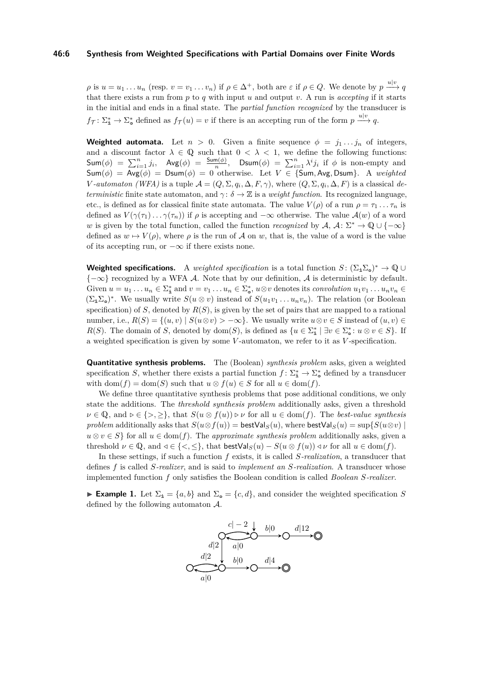$\rho$  is  $u = u_1 \ldots u_n$  (resp.  $v = v_1 \ldots v_n$ ) if  $\rho \in \Delta^+$ , both are  $\varepsilon$  if  $\rho \in Q$ . We denote by  $p \stackrel{u|v}{\longrightarrow} q$ that there exists a run from  $p$  to  $q$  with input  $u$  and output  $v$ . A run is *accepting* if it starts in the initial and ends in a final state. The *partial function recognized* by the transducer is  $f_{\mathcal{T}}: \Sigma_{\mathbf{a}}^* \to \Sigma_{\mathbf{a}}^*$  defined as  $f_{\mathcal{T}}(u) = v$  if there is an accepting run of the form  $p \xrightarrow{u|v} q$ .

**Weighted automata.** Let  $n > 0$ . Given a finite sequence  $\phi = j_1 \dots j_n$  of integers, and a discount factor  $\lambda \in \mathbb{Q}$  such that  $0 < \lambda < 1$ , we define the following functions:  $\textsf{Sum}(\phi) = \sum_{i=1}^{n} j_i, \quad \textsf{Avg}(\phi) = \frac{\textsf{Sum}(\phi)}{n}, \quad \textsf{DSum}(\phi) = \sum_{i=1}^{n} \lambda^i j_i \text{ if } \phi \text{ is non-empty and }$  $\mathsf{Sum}(\phi) = \mathsf{Avg}(\phi) = \mathsf{Dsum}(\phi) = 0$  otherwise. Let  $V \in \{\mathsf{Sum}, \mathsf{Avg}, \mathsf{Dsum}\}.$  A *weighted V*-automaton (WFA) is a tuple  $\mathcal{A} = (Q, \Sigma, q_i, \Delta, F, \gamma)$ , where  $(Q, \Sigma, q_i, \Delta, F)$  is a classical de*terministic* finite state automaton, and  $\gamma$ :  $\delta \to \mathbb{Z}$  is a *weight function*. Its recognized language, etc., is defined as for classical finite state automata. The value  $V(\rho)$  of a run  $\rho = \tau_1 \ldots \tau_n$  is defined as  $V(\gamma(\tau_1)\dots\gamma(\tau_n))$  if  $\rho$  is accepting and  $-\infty$  otherwise. The value  $\mathcal{A}(w)$  of a word *w* is given by the total function, called the function *recognized* by  $\mathcal{A}, \mathcal{A} \colon \Sigma^* \to \mathbb{Q} \cup \{-\infty\}$ defined as  $w \mapsto V(\rho)$ , where  $\rho$  is the run of A on w, that is, the value of a word is the value of its accepting run, or  $-\infty$  if there exists none.

**Weighted specifications.** A *weighted specification* is a total function  $S: (\Sigma_{\mathbf{i}} \Sigma_{\mathbf{o}})^* \to \mathbb{Q} \cup \mathbb{Q}$  ${-\infty}$  recognized by a WFA A. Note that by our definition, A is deterministic by default. Given  $u = u_1 \dots u_n \in \Sigma_{\mathbf{a}}^*$  and  $v = v_1 \dots u_n \in \Sigma_{\mathbf{a}}^*$ ,  $u \otimes v$  denotes its *convolution*  $u_1v_1 \dots u_nv_n \in \Sigma_{\mathbf{a}}^*$  $(\Sigma_{\mathbf{i}}\Sigma_{\mathbf{0}})^*$ . We usually write  $S(u \otimes v)$  instead of  $S(u_1v_1 \ldots u_nv_n)$ . The relation (or Boolean specification) of *S*, denoted by  $R(S)$ , is given by the set of pairs that are mapped to a rational number, i.e.,  $R(S) = \{(u, v) | S(u \otimes v) > -\infty\}$ . We usually write  $u \otimes v \in S$  instead of  $(u, v) \in S$ *R*(*S*). The domain of *S*, denoted by dom(*S*), is defined as  $\{u \in \Sigma_{\mathbf{a}}^* \mid \exists v \in \Sigma_{\mathbf{a}}^* : u \otimes v \in S\}$ . If a weighted specification is given by some *V* -automaton, we refer to it as *V* -specification.

**Quantitative synthesis problems.** The (Boolean) *synthesis problem* asks, given a weighted specification *S*, whether there exists a partial function  $f: \Sigma_{\mathbf{i}}^* \to \Sigma_{\mathbf{0}}^*$  defined by a transducer with dom $(f) = \text{dom}(S)$  such that  $u \otimes f(u) \in S$  for all  $u \in \text{dom}(f)$ .

We define three quantitative synthesis problems that pose additional conditions, we only state the additions. The *threshold synthesis problem* additionally asks, given a threshold  $\nu \in \mathbb{Q}$ , and  $\nu \in \{>, >\},$  that  $S(u \otimes f(u)) \triangleright \nu$  for all  $u \in \text{dom}(f)$ . The *best-value synthesis problem* additionally asks that  $S(u \otimes f(u)) = \mathsf{bestVal}_S(u)$ , where  $\mathsf{bestVal}_S(u) = \sup\{S(u \otimes v) \mid$  $u \otimes v \in S$  for all  $u \in \text{dom}(f)$ . The *approximate synthesis problem* additionally asks, given a threshold  $\nu \in \mathbb{Q}$ , and  $\lhd \in \{\langle \cdot, \cdot \rangle\}$ , that bestVal<sub>S</sub> $(u) - S(u \otimes f(u)) \lhd \nu$  for all  $u \in \text{dom}(f)$ .

In these settings, if such a function *f* exists, it is called *S-realization*, a transducer that defines *f* is called *S-realizer*, and is said to *implement an S-realization*. A transducer whose implemented function *f* only satisfies the Boolean condition is called *Boolean S-realizer*.

► **Example 1.** Let  $\Sigma_i = \{a, b\}$  and  $\Sigma_{\text{o}} = \{c, d\}$ , and consider the weighted specification *S* defined by the following automaton A.

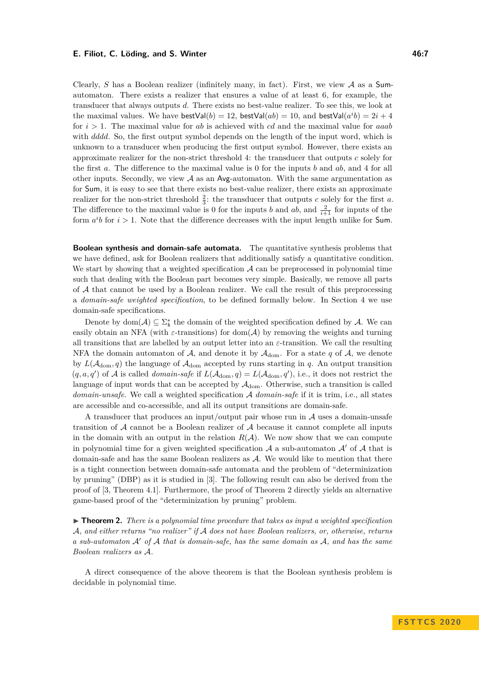Clearly, *S* has a Boolean realizer (infinitely many, in fact). First, we view A as a Sumautomaton. There exists a realizer that ensures a value of at least 6, for example, the transducer that always outputs *d*. There exists no best-value realizer. To see this, we look at the maximal values. We have  $\text{bestVal}(b) = 12$ ,  $\text{bestVal}(ab) = 10$ , and  $\text{bestVal}(a^i b) = 2i + 4$ for *i >* 1. The maximal value for *ab* is achieved with *cd* and the maximal value for *aaab* with *dddd*. So, the first output symbol depends on the length of the input word, which is unknown to a transducer when producing the first output symbol. However, there exists an approximate realizer for the non-strict threshold 4: the transducer that outputs *c* solely for the first *a*. The difference to the maximal value is 0 for the inputs *b* and *ab*, and 4 for all other inputs. Secondly, we view  $A$  as an Avg-automaton. With the same argumentation as for Sum, it is easy to see that there exists no best-value realizer, there exists an approximate realizer for the non-strict threshold  $\frac{2}{3}$ : the transducer that outputs *c* solely for the first *a*. The difference to the maximal value is 0 for the inputs *b* and *ab*, and  $\frac{2}{i+1}$  for inputs of the form  $a^i b$  for  $i > 1$ . Note that the difference decreases with the input length unlike for Sum.

**Boolean synthesis and domain-safe automata.** The quantitative synthesis problems that we have defined, ask for Boolean realizers that additionally satisfy a quantitative condition. We start by showing that a weighted specification  $A$  can be preprocessed in polynomial time such that dealing with the Boolean part becomes very simple. Basically, we remove all parts of A that cannot be used by a Boolean realizer. We call the result of this preprocessing a *domain-safe weighted specification*, to be defined formally below. In Section [4](#page-10-1) we use domain-safe specifications.

Denote by  $dom(\mathcal{A}) \subseteq \Sigma_{\mathbf{i}}^*$  the domain of the weighted specification defined by  $\mathcal{A}$ . We can easily obtain an NFA (with  $\varepsilon$ -transitions) for dom( $\mathcal{A}$ ) by removing the weights and turning all transitions that are labelled by an output letter into an *ε*-transition. We call the resulting NFA the domain automaton of  $A$ , and denote it by  $A_{\text{dom}}$ . For a state q of  $A$ , we denote by  $L(A_{\text{dom}}, q)$  the language of  $A_{\text{dom}}$  accepted by runs starting in *q*. An output transition  $(q, a, q')$  of A is called *domain-safe* if  $L(A_{dom}, q) = L(A_{dom}, q')$ , i.e., it does not restrict the language of input words that can be accepted by  $A_{dom}$ . Otherwise, such a transition is called *domain-unsafe*. We call a weighted specification A *domain-safe* if it is trim, i.e., all states are accessible and co-accessible, and all its output transitions are domain-safe.

A transducer that produces an input/output pair whose run in  $A$  uses a domain-unsafe transition of A cannot be a Boolean realizer of A because it cannot complete all inputs in the domain with an output in the relation  $R(\mathcal{A})$ . We now show that we can compute in polynomial time for a given weighted specification  $\mathcal A$  a sub-automaton  $\mathcal A'$  of  $\mathcal A$  that is domain-safe and has the same Boolean realizers as  $A$ . We would like to mention that there is a tight connection between domain-safe automata and the problem of "determinization by pruning" (DBP) as it is studied in [\[3\]](#page-14-14). The following result can also be derived from the proof of [\[3,](#page-14-14) Theorem 4.1]. Furthermore, the proof of Theorem [2](#page-6-0) directly yields an alternative game-based proof of the "determinization by pruning" problem.

<span id="page-6-0"></span> $\triangleright$  **Theorem 2.** *There is a polynomial time procedure that takes as input a weighted specification* A*, and either returns "no realizer" if* A *does not have Boolean realizers, or, otherwise, returns a sub-automaton* A<sup>0</sup> *of* A *that is domain-safe, has the same domain as* A*, and has the same Boolean realizers as* A*.*

A direct consequence of the above theorem is that the Boolean synthesis problem is decidable in polynomial time.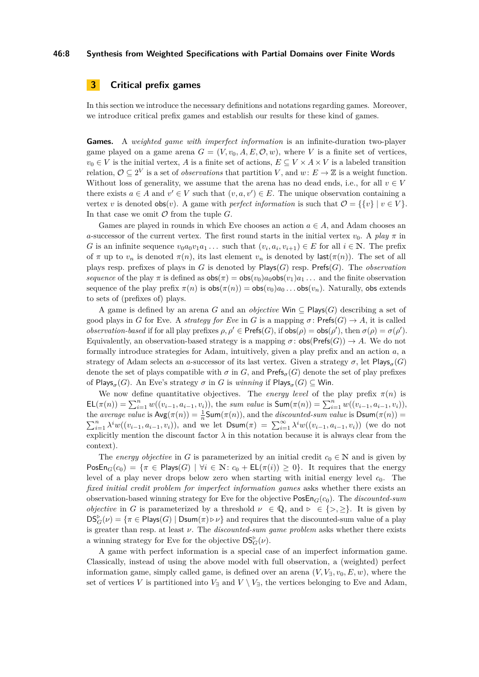### **46:8 Synthesis from Weighted Specifications with Partial Domains over Finite Words**

### <span id="page-7-0"></span>**3 Critical prefix games**

In this section we introduce the necessary definitions and notations regarding games. Moreover, we introduce critical prefix games and establish our results for these kind of games.

**Games.** A *weighted game with imperfect information* is an infinite-duration two-player game played on a game arena  $G = (V, v_0, A, E, O, w)$ , where V is a finite set of vertices,  $v_0 \in V$  is the initial vertex, *A* is a finite set of actions,  $E \subseteq V \times A \times V$  is a labeled transition relation,  $\mathcal{O} \subseteq 2^V$  is a set of *observations* that partition *V*, and  $w: E \to \mathbb{Z}$  is a weight function. Without loss of generality, we assume that the arena has no dead ends, i.e., for all  $v \in V$ there exists  $a \in A$  and  $v' \in V$  such that  $(v, a, v') \in E$ . The unique observation containing a vertex *v* is denoted  $obs(v)$ . A game with *perfect information* is such that  $\mathcal{O} = \{ \{v\} \mid v \in V \}$ . In that case we omit  $\mathcal O$  from the tuple  $G$ .

Games are played in rounds in which Eve chooses an action  $a \in A$ , and Adam chooses an *a*-successor of the current vertex. The first round starts in the initial vertex  $v_0$ . A *play*  $\pi$  in *G* is an infinite sequence  $v_0a_0v_1a_1...$  such that  $(v_i, a_i, v_{i+1}) \in E$  for all  $i \in \mathbb{N}$ . The prefix of  $\pi$  up to  $v_n$  is denoted  $\pi(n)$ , its last element  $v_n$  is denoted by last $(\pi(n))$ . The set of all plays resp. prefixes of plays in *G* is denoted by Plays(*G*) resp. Prefs(*G*). The *observation sequence* of the play  $\pi$  is defined as  $\cos(\pi) = \cos(v_0)a_0\cos(v_1)a_1...$  and the finite observation sequence of the play prefix  $\pi(n)$  is  $\cos(\pi(n)) = \cos(v_0)a_0 \dots \cos(v_n)$ . Naturally, obsextends to sets of (prefixes of) plays.

A game is defined by an arena *G* and an *objective* Win ⊆ Plays(*G*) describing a set of good plays in *G* for Eve. A *strategy for Eve* in *G* is a mapping  $\sigma$ : Prefs $(G) \rightarrow A$ , it is called *observation-based* if for all play prefixes  $\rho, \rho' \in \text{Prefs}(G)$ , if  $\text{obs}(\rho) = \text{obs}(\rho')$ , then  $\sigma(\rho) = \sigma(\rho')$ . Equivalently, an observation-based strategy is a mapping  $\sigma$ :  $\text{obs}(\text{Prefs}(G)) \to A$ . We do not formally introduce strategies for Adam, intuitively, given a play prefix and an action *a*, a strategy of Adam selects an *a*-successor of its last vertex. Given a strategy  $\sigma$ , let  $\mathsf{Plays}_\sigma(G)$ denote the set of plays compatible with  $\sigma$  in  $G$ , and Prefs<sub> $\sigma$ </sub> $(G)$  denote the set of play prefixes of  $\mathsf{Plays}_\sigma(G)$ . An Eve's strategy  $\sigma$  in  $G$  is  $winning$  if  $\mathsf{Plays}_\sigma(G) \subseteq \mathsf{Win}.$ 

We now define quantitative objectives. The *energy level* of the play prefix  $\pi(n)$  is  $\mathsf{EL}(\pi(n)) = \sum_{i=1}^{n} w((v_{i-1}, a_{i-1}, v_i)),$  the sum value is  $\mathsf{Sum}(\pi(n)) = \sum_{i=1}^{n} w((v_{i-1}, a_{i-1}, v_i)),$ the *average value* is  $\mathsf{Avg}(\pi(n)) = \frac{1}{n} \mathsf{Sum}(\pi(n))$ , and the *discounted-sum value* is  $\mathsf{Dsum}(\pi(n)) =$  $\sum_{i=1}^n \lambda^i w((v_{i-1}, a_{i-1}, v_i))$ , and we let  $\text{Dsum}(\pi) = \sum_{i=1}^\infty \lambda^i w((v_{i-1}, a_{i-1}, v_i))$  (we do not explicitly mention the discount factor  $\lambda$  in this notation because it is always clear from the context).

The *energy objective* in *G* is parameterized by an initial credit  $c_0 \in \mathbb{N}$  and is given by  $\text{PosEn}_G(c_0) = \{\pi \in \text{Plays}(G) \mid \forall i \in \mathbb{N} : c_0 + \text{EL}(\pi(i)) \geq 0\}.$  It requires that the energy level of a play never drops below zero when starting with initial energy level  $c_0$ . The *fixed initial credit problem for imperfect information games* asks whether there exists an observation-based winning strategy for Eve for the objective PosEn*G*(*c*0). The *discounted-sum objective* in *G* is parameterized by a threshold  $\nu \in \mathbb{Q}$ , and  $\nu \in \{>, \geq\}$ . It is given by  $DS_G^{\triangleright}(\nu) = \{\pi \in \text{Plays}(G) \mid \text{Dsum}(\pi) \triangleright \nu\}$  and requires that the discounted-sum value of a play is greater than resp. at least *ν*. The *discounted-sum game problem* asks whether there exists a winning strategy for Eve for the objective  $DS_G^{\triangleright}(\nu)$ .

A game with perfect information is a special case of an imperfect information game. Classically, instead of using the above model with full observation, a (weighted) perfect information game, simply called game, is defined over an arena  $(V, V<sub>3</sub>, v<sub>0</sub>, E, w)$ , where the set of vertices *V* is partitioned into  $V_{\exists}$  and  $V \setminus V_{\exists}$ , the vertices belonging to Eve and Adam,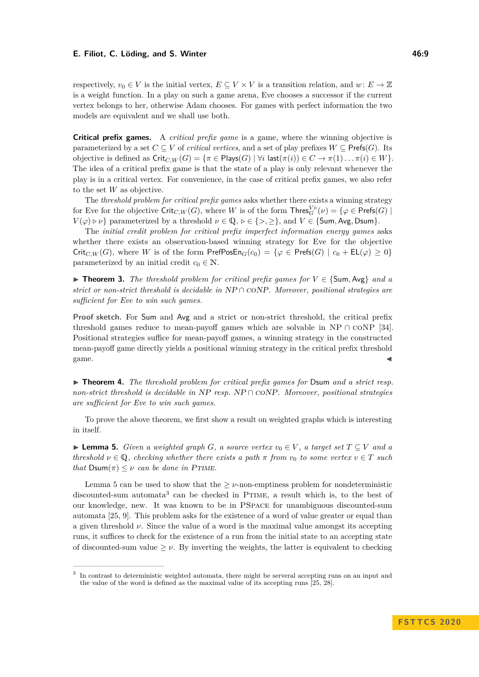### **E. Filiot, C. Löding, and S. Winter 46:9 All and S. Winter 46:9 46:9**

respectively,  $v_0 \in V$  is the initial vertex,  $E \subseteq V \times V$  is a transition relation, and  $w: E \to \mathbb{Z}$ is a weight function. In a play on such a game arena, Eve chooses a successor if the current vertex belongs to her, otherwise Adam chooses. For games with perfect information the two models are equivalent and we shall use both.

**Critical prefix games.** A *critical prefix game* is a game, where the winning objective is parameterized by a set  $C \subseteq V$  of *critical vertices*, and a set of play prefixes  $W \subseteq \text{Prefs}(G)$ . Its objective is defined as  $\text{Crit}_{C,W}(G) = \{\pi \in \text{Plays}(G) \mid \forall i \text{ last}(\pi(i)) \in C \rightarrow \pi(1) \dots \pi(i) \in W\}.$ The idea of a critical prefix game is that the state of a play is only relevant whenever the play is in a critical vertex. For convenience, in the case of critical prefix games, we also refer to the set *W* as objective.

The *threshold problem for critical prefix games* asks whether there exists a winning strategy for Eve for the objective  $\mathsf{Crit}_{C,W}(G)$ , where  $W$  is of the form  $\mathsf{Thres}_G^{V\triangleright}(\nu) = \{\varphi \in \mathsf{Prefs}(G) \mid \varphi \in \mathsf{Inf}(G)\}$ *V*( $\varphi$ )  $\triangleright \nu$ } parameterized by a threshold  $\nu \in \mathbb{Q}, \triangleright \in \{>, \geq\}$ , and *V*  $\in \{\textsf{Sum}, \textsf{Avg}, \textsf{Down}\}.$ 

The *initial credit problem for critical prefix imperfect information energy games* asks whether there exists an observation-based winning strategy for Eve for the objective  $\mathrm{Crit}_{C,W}(G)$ , where *W* is of the form  $\mathrm{PrefPosEn}_G(c_0) = \{\varphi \in \mathrm{Prefs}(G) \mid c_0 + \mathsf{EL}(\varphi) \geq 0\}$ parameterized by an initial credit  $c_0 \in \mathbb{N}$ .

<span id="page-8-0"></span>**► Theorem 3.** The threshold problem for critical prefix games for  $V \in \{Sum, Avg\}$  and a *strict or non-strict threshold is decidable in* NP ∩ coNP*. Moreover, positional strategies are sufficient for Eve to win such games.*

**Proof sketch.** For Sum and Avg and a strict or non-strict threshold, the critical prefix threshold games reduce to mean-payoff games which are solvable in NP  $\cap$  CONP [\[34\]](#page-15-4). Positional strategies suffice for mean-payoff games, a winning strategy in the constructed mean-payoff game directly yields a positional winning strategy in the critical prefix threshold  $\blacksquare$ game.

<span id="page-8-1"></span>▶ **Theorem 4.** *The threshold problem for critical prefix games for* Dsum *and a strict resp. non-strict threshold is decidable in* NP *resp.* NP ∩ coNP*. Moreover, positional strategies are sufficient for Eve to win such games.*

To prove the above theorem, we first show a result on weighted graphs which is interesting in itself.

<span id="page-8-2"></span>**► Lemma 5.** *Given a weighted graph G, a source vertex*  $v_0 \in V$ , a target set  $T \subseteq V$  and a *threshold*  $\nu \in \mathbb{Q}$ , *checking whether there exists a path*  $\pi$  *from*  $v_0$  *to some vertex*  $v \in T$  *such that*  $Dsum(\pi) \leq \nu$  *can be done in PTIME.* 

Lemma [5](#page-8-2) can be used to show that the  $\geq \nu$ -non-emptiness problem for nondeterministic discounted-sum automata<sup>[3](#page-8-3)</sup> can be checked in PTIME, a result which is, to the best of our knowledge, new. It was known to be in PSpace for unambiguous discounted-sum automata [\[25,](#page-15-12) [9\]](#page-14-15). This problem asks for the existence of a word of value greater or equal than a given threshold  $\nu$ . Since the value of a word is the maximal value amongst its accepting runs, it suffices to check for the existence of a run from the initial state to an accepting state of discounted-sum value  $\geq \nu$ . By inverting the weights, the latter is equivalent to checking

<span id="page-8-3"></span><sup>3</sup> In contrast to deterministic weighted automata, there might be serveral accepting runs on an input and the value of the word is defined as the maximal value of its accepting runs [\[25,](#page-15-12) [28\]](#page-15-13).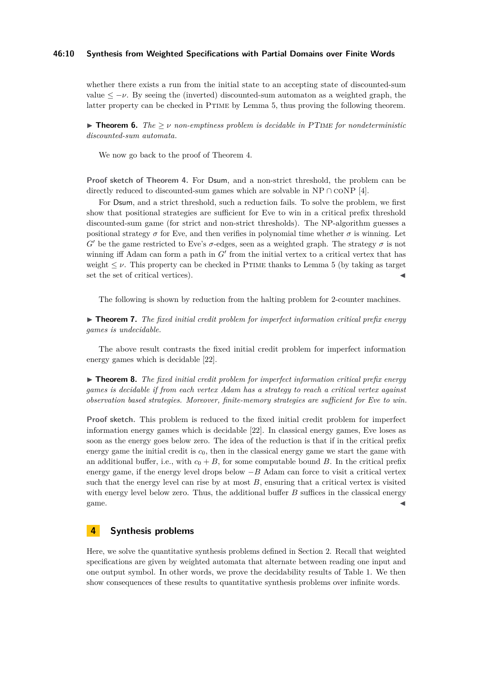### **46:10 Synthesis from Weighted Specifications with Partial Domains over Finite Words**

whether there exists a run from the initial state to an accepting state of discounted-sum value  $\langle -\nu$ . By seeing the (inverted) discounted-sum automaton as a weighted graph, the latter property can be checked in PTIME by Lemma [5,](#page-8-2) thus proving the following theorem.

<span id="page-9-3"></span>**Findam 5.** *The*  $\geq \nu$  *non-emptiness problem is decidable in PTIME for nondeterministic discounted-sum automata.*

We now go back to the proof of Theorem [4.](#page-8-1)

**Proof sketch of Theorem [4.](#page-8-1)** For Dsum, and a non-strict threshold, the problem can be directly reduced to discounted-sum games which are solvable in NP ∩  $\text{coNP}$  [\[4\]](#page-14-9).

For Dsum, and a strict threshold, such a reduction fails. To solve the problem, we first show that positional strategies are sufficient for Eve to win in a critical prefix threshold discounted-sum game (for strict and non-strict thresholds). The NP-algorithm guesses a positional strategy  $\sigma$  for Eve, and then verifies in polynomial time whether  $\sigma$  is winning. Let *G*<sup> $\prime$ </sup> be the game restricted to Eve's *σ*-edges, seen as a weighted graph. The strategy *σ* is not winning iff Adam can form a path in  $G'$  from the initial vertex to a critical vertex that has weight  $\leq \nu$ . This property can be checked in PTIME thanks to Lemma [5](#page-8-2) (by taking as target set the set of critical vertices).

The following is shown by reduction from the halting problem for 2-counter machines.

<span id="page-9-1"></span>► **Theorem 7.** The fixed initial credit problem for imperfect information critical prefix energy *games is undecidable.*

The above result contrasts the fixed initial credit problem for imperfect information energy games which is decidable [\[22\]](#page-15-5).

<span id="page-9-2"></span>I **Theorem 8.** *The fixed initial credit problem for imperfect information critical prefix energy games is decidable if from each vertex Adam has a strategy to reach a critical vertex against observation based strategies. Moreover, finite-memory strategies are sufficient for Eve to win.*

**Proof sketch.** This problem is reduced to the fixed initial credit problem for imperfect information energy games which is decidable [\[22\]](#page-15-5). In classical energy games, Eve loses as soon as the energy goes below zero. The idea of the reduction is that if in the critical prefix energy game the initial credit is  $c<sub>0</sub>$ , then in the classical energy game we start the game with an additional buffer, i.e., with  $c_0 + B$ , for some computable bound *B*. In the critical prefix energy game, if the energy level drops below  $-B$  Adam can force to visit a critical vertex such that the energy level can rise by at most  $B$ , ensuring that a critical vertex is visited with energy level below zero. Thus, the additional buffer *B* suffices in the classical energy  $\epsilon$  game.

### <span id="page-9-0"></span>**4 Synthesis problems**

Here, we solve the quantitative synthesis problems defined in Section [2.](#page-4-1) Recall that weighted specifications are given by weighted automata that alternate between reading one input and one output symbol. In other words, we prove the decidability results of Table [1.](#page-2-0) We then show consequences of these results to quantitative synthesis problems over infinite words.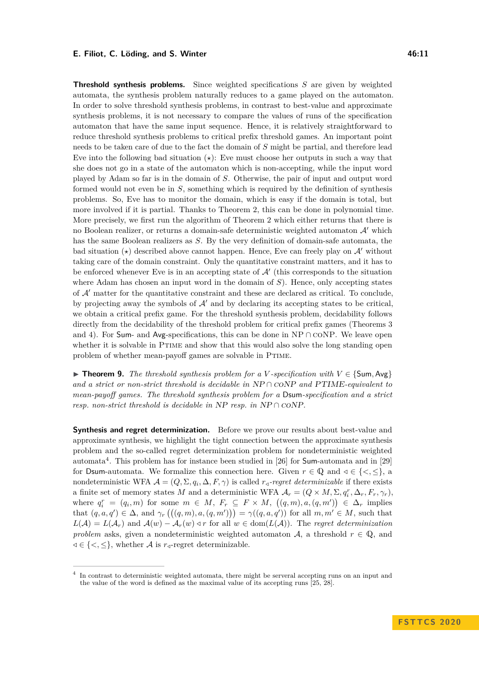<span id="page-10-1"></span>**Threshold synthesis problems.** Since weighted specifications *S* are given by weighted automata, the synthesis problem naturally reduces to a game played on the automaton. In order to solve threshold synthesis problems, in contrast to best-value and approximate synthesis problems, it is not necessary to compare the values of runs of the specification automaton that have the same input sequence. Hence, it is relatively straightforward to reduce threshold synthesis problems to critical prefix threshold games. An important point needs to be taken care of due to the fact the domain of *S* might be partial, and therefore lead Eve into the following bad situation  $(\star)$ : Eve must choose her outputs in such a way that she does not go in a state of the automaton which is non-accepting, while the input word played by Adam so far is in the domain of *S*. Otherwise, the pair of input and output word formed would not even be in *S*, something which is required by the definition of synthesis problems. So, Eve has to monitor the domain, which is easy if the domain is total, but more involved if it is partial. Thanks to Theorem [2,](#page-6-0) this can be done in polynomial time. More precisely, we first run the algorithm of Theorem [2](#page-6-0) which either returns that there is no Boolean realizer, or returns a domain-safe deterministic weighted automaton  $\mathcal{A}'$  which has the same Boolean realizers as *S*. By the very definition of domain-safe automata, the bad situation  $(\star)$  described above cannot happen. Hence, Eve can freely play on  $\mathcal{A}'$  without taking care of the domain constraint. Only the quantitative constraint matters, and it has to be enforced whenever Eve is in an accepting state of  $\mathcal{A}'$  (this corresponds to the situation where Adam has chosen an input word in the domain of *S*). Hence, only accepting states of  $\mathcal{A}'$  matter for the quantitative constraint and these are declared as critical. To conclude, by projecting away the symbols of  $\mathcal{A}'$  and by declaring its accepting states to be critical, we obtain a critical prefix game. For the threshold synthesis problem, decidability follows directly from the decidability of the threshold problem for critical prefix games (Theorems [3](#page-8-0)) and [4\)](#page-8-1). For Sum- and Avg-specifications, this can be done in  $NP \cap CONP$ . We leave open whether it is solvable in PTIME and show that this would also solve the long standing open problem of whether mean-payoff games are solvable in Ptime.

<span id="page-10-0"></span>**► Theorem 9.** *The threshold synthesis problem for a V*-specification with  $V \in \{Sum, Avg\}$ *and a strict or non-strict threshold is decidable in* NP ∩ coNP *and* PTIME*-equivalent to mean-payoff games. The threshold synthesis problem for a* Dsum*-specification and a strict resp. non-strict threshold is decidable in* NP *resp. in* NP ∩ coNP*.*

**Synthesis and regret determinization.** Before we prove our results about best-value and approximate synthesis, we highlight the tight connection between the approximate synthesis problem and the so-called regret determinization problem for nondeterministic weighted automata<sup>[4](#page-10-2)</sup>. This problem has for instance been studied in [\[26\]](#page-15-8) for **Sum**-automata and in [\[29\]](#page-15-6) for Dsum-automata. We formalize this connection here. Given  $r \in \mathbb{Q}$  and  $\triangleleft \in \{ \leq, \leq \}$ , a nondeterministic WFA  $\mathcal{A} = (Q, \Sigma, q_i, \Delta, F, \gamma)$  is called  $r_{\triangleleft}$ *-regret determinizable* if there exists a finite set of memory states *M* and a deterministic WFA  $A_r = (Q \times M, \Sigma, q_i^r, \Delta_r, F_r, \gamma_r)$ , where  $q_i^r = (q_i, m)$  for some  $m \in M$ ,  $F_r \subseteq F \times M$ ,  $((q, m), a, (q, m')) \in \Delta_r$  implies that  $(q, a, q') \in \Delta$ , and  $\gamma_r((q, m), a, (q, m')) = \gamma((q, a, q'))$  for all  $m, m' \in M$ , such that  $L(\mathcal{A}) = L(\mathcal{A}_r)$  and  $\mathcal{A}(w) - \mathcal{A}_r(w) \triangleleft r$  for all  $w \in \text{dom}(L(\mathcal{A}))$ . The *regret determinization problem* asks, given a nondeterministic weighted automaton A, a threshold  $r \in \mathbb{Q}$ , and *√* ∈ {*<*, ≤}, whether *A* is  $r$ <sup>*/*</sup>-regret determinizable.

<span id="page-10-3"></span><span id="page-10-2"></span><sup>4</sup> In contrast to deterministic weighted automata, there might be serveral accepting runs on an input and the value of the word is defined as the maximal value of its accepting runs [\[25,](#page-15-12) [28\]](#page-15-13).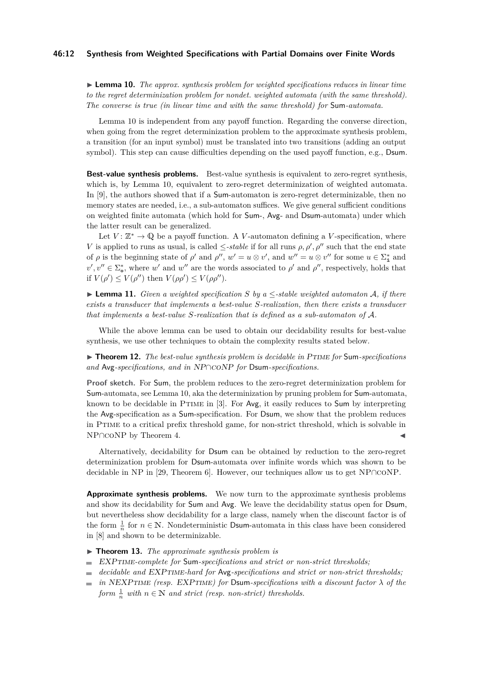### **46:12 Synthesis from Weighted Specifications with Partial Domains over Finite Words**

 $\triangleright$  **Lemma 10.** *The approx. synthesis problem for weighted specifications reduces in linear time to the regret determinization problem for nondet. weighted automata (with the same threshold). The converse is true (in linear time and with the same threshold) for* Sum*-automata.*

Lemma [10](#page-10-3) is independent from any payoff function. Regarding the converse direction, when going from the regret determinization problem to the approximate synthesis problem, a transition (for an input symbol) must be translated into two transitions (adding an output symbol). This step can cause difficulties depending on the used payoff function, e.g., Dsum.

**Best-value synthesis problems.** Best-value synthesis is equivalent to zero-regret synthesis, which is, by Lemma [10,](#page-10-3) equivalent to zero-regret determinization of weighted automata. In [\[9\]](#page-14-15), the authors showed that if a Sum-automaton is zero-regret determinizable, then no memory states are needed, i.e., a sub-automaton suffices. We give general sufficient conditions on weighted finite automata (which hold for Sum-, Avg- and Dsum-automata) under which the latter result can be generalized.

Let  $V: \mathbb{Z}^* \to \mathbb{Q}$  be a payoff function. A *V*-automaton defining a *V*-specification, where *V* is applied to runs as usual, is called  $\le$ -*stable* if for all runs  $\rho$ ,  $\rho'$ ,  $\rho''$  such that the end state of  $\rho$  is the beginning state of  $\rho'$  and  $\rho''$ ,  $w' = u \otimes v'$ , and  $w'' = u \otimes v''$  for some  $u \in \Sigma_{\mathbf{A}}^*$  and  $v', v'' \in \Sigma_{\infty}^*$ , where *w'* and *w''* are the words associated to *ρ'* and *ρ''*, respectively, holds that if  $V(\rho') \leq V(\rho'')$  then  $V(\rho \rho') \leq V(\rho \rho'')$ .

▶ **Lemma 11.** *Given a weighted specification*  $S$  *by a*  $\leq$ -stable weighted automaton  $A$ , if there *exists a transducer that implements a best-value S-realization, then there exists a transducer that implements a best-value S-realization that is defined as a sub-automaton of* A*.*

While the above lemma can be used to obtain our decidability results for best-value synthesis, we use other techniques to obtain the complexity results stated below.

<span id="page-11-0"></span>▶ **Theorem 12.** *The best-value synthesis problem is decidable in PTIME for* Sum-specifications *and* Avg*-specifications, and in* NP∩coNP *for* Dsum*-specifications.*

**Proof sketch.** For Sum, the problem reduces to the zero-regret determinization problem for Sum-automata, see Lemma [10,](#page-10-3) aka the determinization by pruning problem for Sum-automata, known to be decidable in Ptime in [\[3\]](#page-14-14). For Avg, it easily reduces to Sum by interpreting the Avg-specification as a Sum-specification. For Dsum, we show that the problem reduces in Ptime to a critical prefix threshold game, for non-strict threshold, which is solvable in  $NPOCONP$  by Theorem [4.](#page-8-1)

Alternatively, decidability for Dsum can be obtained by reduction to the zero-regret determinization problem for Dsum-automata over infinite words which was shown to be decidable in NP in [\[29,](#page-15-6) Theorem 6]. However, our techniques allow us to get NP∩coNP.

**Approximate synthesis problems.** We now turn to the approximate synthesis problems and show its decidability for Sum and Avg. We leave the decidability status open for Dsum, but nevertheless show decidability for a large class, namely when the discount factor is of the form  $\frac{1}{n}$  for  $n \in \mathbb{N}$ . Nondeterministic Dsum-automata in this class have been considered in [\[8\]](#page-14-16) and shown to be determinizable.

- <span id="page-11-1"></span>▶ **Theorem 13.** *The approximate synthesis problem is*
- EXPtime*-complete for* Sum*-specifications and strict or non-strict thresholds;*
- *decidable and* EXPtime*-hard for* Avg*-specifications and strict or non-strict thresholds;*  $\overline{a}$
- $\overline{a}$ *in* NEXPTIME *(resp.* EXPTIME*)* for Dsum-specifications with a discount factor  $\lambda$  of the  $form \frac{1}{n}$  with  $n \in \mathbb{N}$  and strict (resp. non-strict) thresholds.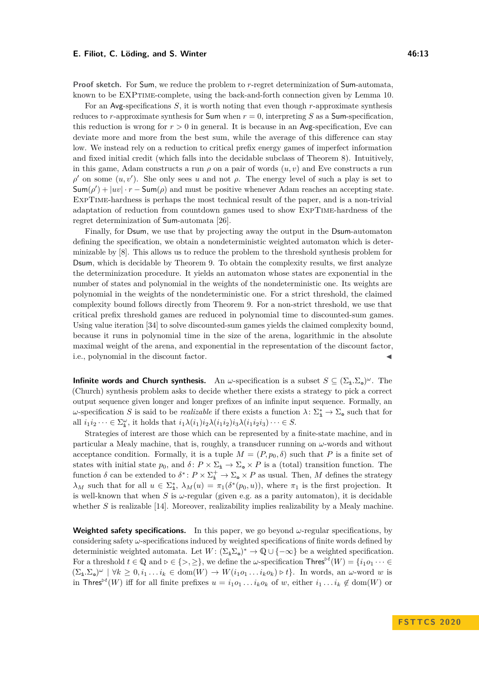#### **E. Filiot, C. Löding, and S. Winter 46:13**

**Proof sketch.** For Sum, we reduce the problem to *r*-regret determinization of Sum-automata, known to be EXPtime-complete, using the back-and-forth connection given by Lemma [10.](#page-10-3)

For an Avg-specifications *S*, it is worth noting that even though *r*-approximate synthesis reduces to *r*-approximate synthesis for Sum when  $r = 0$ , interpreting *S* as a Sum-specification, this reduction is wrong for  $r > 0$  in general. It is because in an Avg-specification, Eve can deviate more and more from the best sum, while the average of this difference can stay low. We instead rely on a reduction to critical prefix energy games of imperfect information and fixed initial credit (which falls into the decidable subclass of Theorem [8\)](#page-9-2). Intuitively, in this game, Adam constructs a run  $\rho$  on a pair of words  $(u, v)$  and Eve constructs a run  $ρ'$  on some  $(u, v')$ . She only sees *u* and not  $ρ$ . The energy level of such a play is set to  $\textsf{Sum}(\rho') + |uv| \cdot r - \textsf{Sum}(\rho)$  and must be positive whenever Adam reaches an accepting state. ExpTime-hardness is perhaps the most technical result of the paper, and is a non-trivial adaptation of reduction from countdown games used to show ExpTime-hardness of the regret determinization of Sum-automata [\[26\]](#page-15-8).

Finally, for Dsum, we use that by projecting away the output in the Dsum-automaton defining the specification, we obtain a nondeterministic weighted automaton which is determinizable by [\[8\]](#page-14-16). This allows us to reduce the problem to the threshold synthesis problem for Dsum, which is decidable by Theorem [9.](#page-10-0) To obtain the complexity results, we first analyze the determinization procedure. It yields an automaton whose states are exponential in the number of states and polynomial in the weights of the nondeterministic one. Its weights are polynomial in the weights of the nondeterministic one. For a strict threshold, the claimed complexity bound follows directly from Theorem [9.](#page-10-0) For a non-strict threshold, we use that critical prefix threshold games are reduced in polynomial time to discounted-sum games. Using value iteration [\[34\]](#page-15-4) to solve discounted-sum games yields the claimed complexity bound, because it runs in polynomial time in the size of the arena, logarithmic in the absolute maximal weight of the arena, and exponential in the representation of the discount factor, i.e., polynomial in the discount factor.

**Infinite words and Church synthesis.** An  $\omega$ -specification is a subset  $S \subseteq (\Sigma_{\mathbf{i}}.\Sigma_{\mathbf{0}})^{\omega}$ . The (Church) synthesis problem asks to decide whether there exists a strategy to pick a correct output sequence given longer and longer prefixes of an infinite input sequence. Formally, an *ω*-specification *S* is said to be *realizable* if there exists a function  $\lambda$ :  $\Sigma_{\mathbf{i}}^* \to \Sigma_{\mathbf{0}}$  such that for all  $i_1 i_2 \cdots \in \Sigma_{\mathbf{n}}^{\omega}$ , it holds that  $i_1 \lambda(i_1) i_2 \lambda(i_1 i_2) i_3 \lambda(i_1 i_2 i_3) \cdots \in S$ .

Strategies of interest are those which can be represented by a finite-state machine, and in particular a Mealy machine, that is, roughly, a transducer running on *ω*-words and without acceptance condition. Formally, it is a tuple  $M = (P, p_0, \delta)$  such that P is a finite set of states with initial state  $p_0$ , and  $\delta: P \times \Sigma_{\mathbf{i}} \to \Sigma_{\mathbf{o}} \times P$  is a (total) transition function. The function  $\delta$  can be extended to  $\delta^*$ :  $P \times \Sigma_i^+ \to \Sigma_{\mathfrak{g}} \times P$  as usual. Then, M defines the strategy  $\lambda_M$  such that for all  $u \in \Sigma^*_h$ ,  $\lambda_M(u) = \pi_1(\delta^*(p_0, u))$ , where  $\pi_1$  is the first projection. It is well-known that when  $S$  is  $\omega$ -regular (given e.g. as a parity automaton), it is decidable whether *S* is realizable [\[14\]](#page-14-0). Moreover, realizability implies realizability by a Mealy machine.

**Weighted safety specifications.** In this paper, we go beyond *ω*-regular specifications, by considering safety *ω*-specifications induced by weighted specifications of finite words defined by deterministic weighted automata. Let  $W: (\Sigma_{\mathbf{i}} \Sigma_{\mathbf{0}})^* \to \mathbb{Q} \cup \{-\infty\}$  be a weighted specification. For a threshold  $t \in \mathbb{Q}$  and  $\rho \in \{>, \geq\}$ , we define the *w*-specification Thres<sup>bt</sup> $(W) = \{i_1o_1 \cdots \in$  $(\Sigma_{\mathbf{i}} \cdot \Sigma_{\mathbf{0}})^{\omega} \mid \forall k \geq 0, i_1 \dots i_k \in \text{dom}(W) \rightarrow W(i_1 o_1 \dots i_k o_k) \triangleright t$ . In words, an  $\omega$ -word *w* is in Thres<sup>bt</sup>(*W*) iff for all finite prefixes  $u = i_1 o_1 \dots i_k o_k$  of *w*, either  $i_1 \dots i_k \notin dom(W)$  or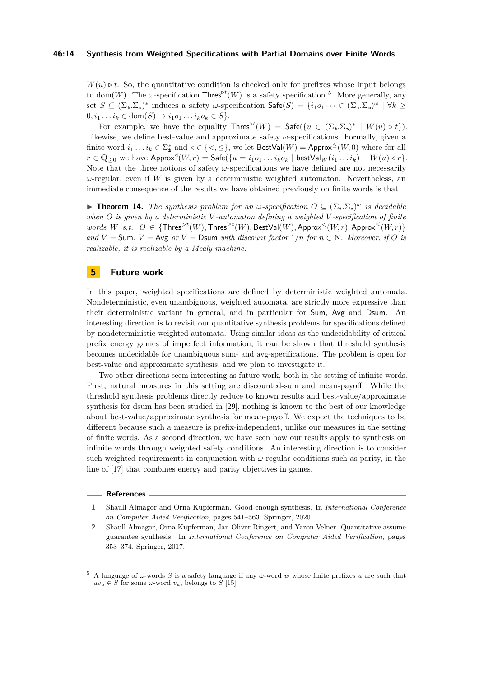### **46:14 Synthesis from Weighted Specifications with Partial Domains over Finite Words**

 $W(u) \triangleright t$ . So, the quantitative condition is checked only for prefixes whose input belongs to dom(*W*). The *ω*-specification  $\mathsf{Thres}^{\mathsf{pt}}(W)$  is a safety specification <sup>[5](#page-13-2)</sup>. More generally, any set  $S \subseteq (\Sigma_{\mathbf{i}} \cdot \Sigma_{\mathbf{0}})^*$  induces a safety *w*-specification  $\mathsf{Safe}(S) = \{i_1 o_1 \cdots \in (\Sigma_{\mathbf{i}} \cdot \Sigma_{\mathbf{0}})^{\omega} \mid \forall k \geq$  $0, i_1 \ldots i_k \in \text{dom}(S) \to i_1 o_1 \ldots i_k o_k \in S$ .

For example, we have the equality  $\mathsf{Thres}^{\triangleright t}(W) = \mathsf{Safe}(\{u \in (\Sigma_i, \Sigma_{\mathsf{e}})^* \mid W(u) \triangleright t\}).$ Likewise, we define best-value and approximate safety *ω*-specifications. Formally, given a finite word  $i_1 \dots i_k \in \Sigma^*_\mathtt{i}$  and  $\triangleleft \in \{<,\leq\},$  we let  $\mathsf{BestVal}(W) = \mathsf{Approx}^{\leq}(W,0)$  where for all *r* ∈  $\mathbb{Q}_{\geq 0}$  we have  $\mathsf{Approx}^{\triangleleft}(W, r) = \mathsf{Safe}(\{u = i_1 o_1 \ldots i_k o_k \mid \mathsf{bestVal}_W(i_1 \ldots i_k) - W(u) \triangleleft r\}.$ Note that the three notions of safety  $\omega$ -specifications we have defined are not necessarily  $\omega$ -regular, even if *W* is given by a deterministic weighted automaton. Nevertheless, an immediate consequence of the results we have obtained previously on finite words is that

**Theorem 14.** The synthesis problem for an  $\omega$ -specification  $O \subseteq (\Sigma_{\mathbf{i}}.\Sigma_{\mathbf{0}})^{\omega}$  is decidable *when O is given by a deterministic V -automaton defining a weighted V -specification of finite*  $words \ W \ s.t. \ O \in {\text{Thres}}^{>t}(W), \text{Thres}^{\geq t}(W), \text{BestVal}(W), \text{Approx}^{<}(W,r), \text{Approx}^{<}(W,r) \}$ *and*  $V =$  Sum,  $V =$  Avg *or*  $V =$  Dsum *with discount factor*  $1/n$  *for*  $n \in \mathbb{N}$ *. Moreover, if O is realizable, it is realizable by a Mealy machine.*

### **5 Future work**

In this paper, weighted specifications are defined by deterministic weighted automata. Nondeterministic, even unambiguous, weighted automata, are strictly more expressive than their deterministic variant in general, and in particular for Sum, Avg and Dsum. An interesting direction is to revisit our quantitative synthesis problems for specifications defined by nondeterministic weighted automata. Using similar ideas as the undecidability of critical prefix energy games of imperfect information, it can be shown that threshold synthesis becomes undecidable for unambiguous sum- and avg-specifications. The problem is open for best-value and approximate synthesis, and we plan to investigate it.

Two other directions seem interesting as future work, both in the setting of infinite words. First, natural measures in this setting are discounted-sum and mean-payoff. While the threshold synthesis problems directly reduce to known results and best-value/approximate synthesis for dsum has been studied in [\[29\]](#page-15-6), nothing is known to the best of our knowledge about best-value/approximate synthesis for mean-payoff. We expect the techniques to be different because such a measure is prefix-independent, unlike our measures in the setting of finite words. As a second direction, we have seen how our results apply to synthesis on infinite words through weighted safety conditions. An interesting direction is to consider such weighted requirements in conjunction with  $\omega$ -regular conditions such as parity, in the line of [\[17\]](#page-14-17) that combines energy and parity objectives in games.

#### **References**

- <span id="page-13-1"></span>**1** Shaull Almagor and Orna Kupferman. Good-enough synthesis. In *International Conference on Computer Aided Verification*, pages 541–563. Springer, 2020.
- <span id="page-13-0"></span>**2** Shaull Almagor, Orna Kupferman, Jan Oliver Ringert, and Yaron Velner. Quantitative assume guarantee synthesis. In *International Conference on Computer Aided Verification*, pages 353–374. Springer, 2017.

<span id="page-13-2"></span><sup>5</sup> A language of *ω*-words *S* is a safety language if any *ω*-word *w* whose finite prefixes *u* are such that  $uv_u \in S$  for some *ω*-word  $v_u$ , belongs to *S* [\[15\]](#page-14-18).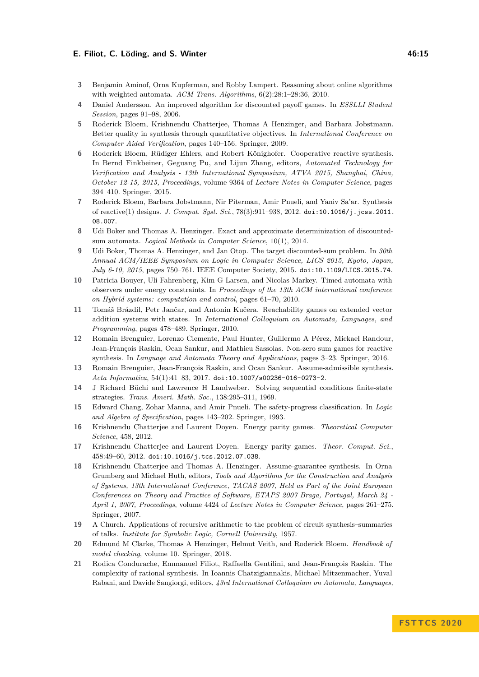### **E. Filiot, C. Löding, and S. Winter 19. 20. 20. 20. 20. 20. 20. 20. 20. 46:15**

- <span id="page-14-14"></span>**3** Benjamin Aminof, Orna Kupferman, and Robby Lampert. Reasoning about online algorithms with weighted automata. *ACM Trans. Algorithms*, 6(2):28:1–28:36, 2010.
- <span id="page-14-9"></span>**4** Daniel Andersson. An improved algorithm for discounted payoff games. In *ESSLLI Student Session*, pages 91–98, 2006.
- <span id="page-14-4"></span>**5** Roderick Bloem, Krishnendu Chatterjee, Thomas A Henzinger, and Barbara Jobstmann. Better quality in synthesis through quantitative objectives. In *International Conference on Computer Aided Verification*, pages 140–156. Springer, 2009.
- <span id="page-14-11"></span>**6** Roderick Bloem, Rüdiger Ehlers, and Robert Könighofer. Cooperative reactive synthesis. In Bernd Finkbeiner, Geguang Pu, and Lijun Zhang, editors, *Automated Technology for Verification and Analysis - 13th International Symposium, ATVA 2015, Shanghai, China, October 12-15, 2015, Proceedings*, volume 9364 of *Lecture Notes in Computer Science*, pages 394–410. Springer, 2015.
- <span id="page-14-3"></span>**7** Roderick Bloem, Barbara Jobstmann, Nir Piterman, Amir Pnueli, and Yaniv Sa'ar. Synthesis of reactive(1) designs. *J. Comput. Syst. Sci.*, 78(3):911–938, 2012. [doi:10.1016/j.jcss.2011.](https://doi.org/10.1016/j.jcss.2011.08.007) [08.007](https://doi.org/10.1016/j.jcss.2011.08.007).
- <span id="page-14-16"></span>**8** Udi Boker and Thomas A. Henzinger. Exact and approximate determinization of discountedsum automata. *Logical Methods in Computer Science*, 10(1), 2014.
- <span id="page-14-15"></span>**9** Udi Boker, Thomas A. Henzinger, and Jan Otop. The target discounted-sum problem. In *30th Annual ACM/IEEE Symposium on Logic in Computer Science, LICS 2015, Kyoto, Japan, July 6-10, 2015*, pages 750–761. IEEE Computer Society, 2015. [doi:10.1109/LICS.2015.74](https://doi.org/10.1109/LICS.2015.74).
- <span id="page-14-7"></span>**10** Patricia Bouyer, Uli Fahrenberg, Kim G Larsen, and Nicolas Markey. Timed automata with observers under energy constraints. In *Proceedings of the 13th ACM international conference on Hybrid systems: computation and control*, pages 61–70, 2010.
- <span id="page-14-8"></span>**11** Tomáš Brázdil, Petr Jančar, and Antonín Kučera. Reachability games on extended vector addition systems with states. In *International Colloquium on Automata, Languages, and Programming*, pages 478–489. Springer, 2010.
- <span id="page-14-6"></span>**12** Romain Brenguier, Lorenzo Clemente, Paul Hunter, Guillermo A Pérez, Mickael Randour, Jean-François Raskin, Ocan Sankur, and Mathieu Sassolas. Non-zero sum games for reactive synthesis. In *Language and Automata Theory and Applications*, pages 3–23. Springer, 2016.
- <span id="page-14-13"></span>**13** Romain Brenguier, Jean-François Raskin, and Ocan Sankur. Assume-admissible synthesis. *Acta Informatica*, 54(1):41–83, 2017. [doi:10.1007/s00236-016-0273-2](https://doi.org/10.1007/s00236-016-0273-2).
- <span id="page-14-0"></span>**14** J Richard Büchi and Lawrence H Landweber. Solving sequential conditions finite-state strategies. *Trans. Ameri. Math. Soc.*, 138:295–311, 1969.
- <span id="page-14-18"></span>**15** Edward Chang, Zohar Manna, and Amir Pnueli. The safety-progress classification. In *Logic and Algebra of Specification*, pages 143–202. Springer, 1993.
- <span id="page-14-5"></span>**16** Krishnendu Chatterjee and Laurent Doyen. Energy parity games. *Theoretical Computer Science*, 458, 2012.
- <span id="page-14-17"></span>**17** Krishnendu Chatterjee and Laurent Doyen. Energy parity games. *Theor. Comput. Sci.*, 458:49–60, 2012. [doi:10.1016/j.tcs.2012.07.038](https://doi.org/10.1016/j.tcs.2012.07.038).
- <span id="page-14-10"></span>**18** Krishnendu Chatterjee and Thomas A. Henzinger. Assume-guarantee synthesis. In Orna Grumberg and Michael Huth, editors, *Tools and Algorithms for the Construction and Analysis of Systems, 13th International Conference, TACAS 2007, Held as Part of the Joint European Conferences on Theory and Practice of Software, ETAPS 2007 Braga, Portugal, March 24 - April 1, 2007, Proceedings*, volume 4424 of *Lecture Notes in Computer Science*, pages 261–275. Springer, 2007.
- <span id="page-14-2"></span>**19** A Church. Applications of recursive arithmetic to the problem of circuit synthesis–summaries of talks. *Institute for Symbolic Logic, Cornell University*, 1957.
- <span id="page-14-1"></span>**20** Edmund M Clarke, Thomas A Henzinger, Helmut Veith, and Roderick Bloem. *Handbook of model checking*, volume 10. Springer, 2018.
- <span id="page-14-12"></span>**21** Rodica Condurache, Emmanuel Filiot, Raffaella Gentilini, and Jean-François Raskin. The complexity of rational synthesis. In Ioannis Chatzigiannakis, Michael Mitzenmacher, Yuval Rabani, and Davide Sangiorgi, editors, *43rd International Colloquium on Automata, Languages,*